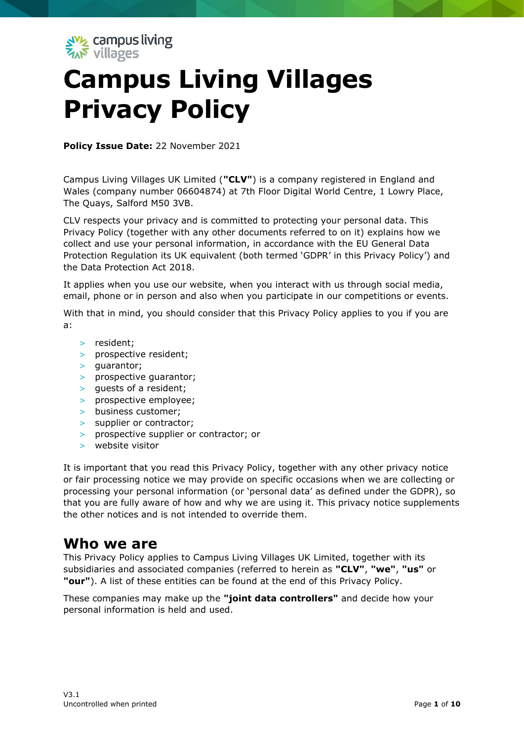

# **Campus Living Villages Privacy Policy**

**Policy Issue Date:** 22 November 2021

Campus Living Villages UK Limited (**"CLV"**) is a company registered in England and Wales (company number 06604874) at 7th Floor Digital World Centre, 1 Lowry Place, The Quays, Salford M50 3VB.

CLV respects your privacy and is committed to protecting your personal data. This Privacy Policy (together with any other documents referred to on it) explains how we collect and use your personal information, in accordance with the EU General Data Protection Regulation its UK equivalent (both termed 'GDPR' in this Privacy Policy') and the Data Protection Act 2018.

It applies when you use our website, when you interact with us through social media, email, phone or in person and also when you participate in our competitions or events.

With that in mind, you should consider that this Privacy Policy applies to you if you are a:

- > resident;
- > prospective resident;
- > guarantor;
- > prospective guarantor;
- > guests of a resident;
- > prospective employee;
- > business customer;
- > supplier or contractor;
- > prospective supplier or contractor; or
- > website visitor

It is important that you read this Privacy Policy, together with any other privacy notice or fair processing notice we may provide on specific occasions when we are collecting or processing your personal information (or 'personal data' as defined under the GDPR), so that you are fully aware of how and why we are using it. This privacy notice supplements the other notices and is not intended to override them.

#### **Who we are**

This Privacy Policy applies to Campus Living Villages UK Limited, together with its subsidiaries and associated companies (referred to herein as **"CLV"**, **"we"**, **"us"** or **"our"**). A list of these entities can be found at the end of this Privacy Policy.

These companies may make up the **"joint data controllers"** and decide how your personal information is held and used.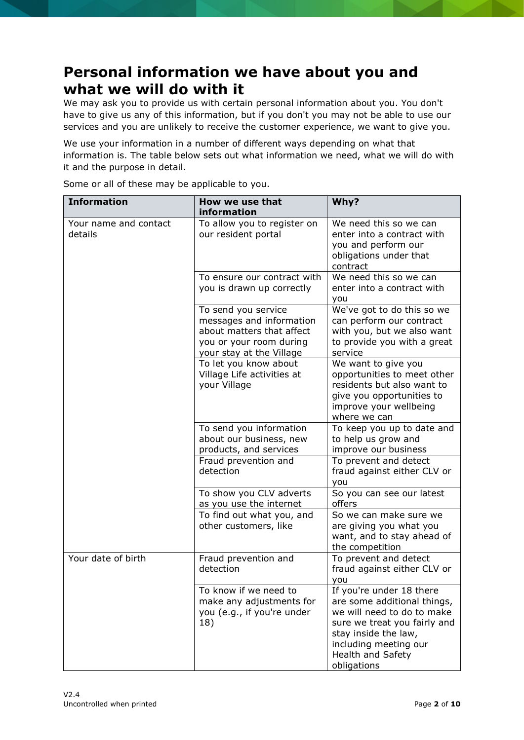## **Personal information we have about you and what we will do with it**

We may ask you to provide us with certain personal information about you. You don't have to give us any of this information, but if you don't you may not be able to use our services and you are unlikely to receive the customer experience, we want to give you.

We use your information in a number of different ways depending on what that information is. The table below sets out what information we need, what we will do with it and the purpose in detail.

Some or all of these may be applicable to you.

| <b>Information</b>               | How we use that<br>information                                                                                                      | Why?                                                                                                                                                                                                       |
|----------------------------------|-------------------------------------------------------------------------------------------------------------------------------------|------------------------------------------------------------------------------------------------------------------------------------------------------------------------------------------------------------|
| Your name and contact<br>details | To allow you to register on<br>our resident portal                                                                                  | We need this so we can<br>enter into a contract with<br>you and perform our<br>obligations under that<br>contract                                                                                          |
|                                  | To ensure our contract with<br>you is drawn up correctly                                                                            | We need this so we can<br>enter into a contract with<br>you                                                                                                                                                |
|                                  | To send you service<br>messages and information<br>about matters that affect<br>you or your room during<br>your stay at the Village | We've got to do this so we<br>can perform our contract<br>with you, but we also want<br>to provide you with a great<br>service                                                                             |
|                                  | To let you know about<br>Village Life activities at<br>your Village                                                                 | We want to give you<br>opportunities to meet other<br>residents but also want to<br>give you opportunities to<br>improve your wellbeing<br>where we can                                                    |
|                                  | To send you information<br>about our business, new<br>products, and services                                                        | To keep you up to date and<br>to help us grow and<br>improve our business                                                                                                                                  |
|                                  | Fraud prevention and<br>detection                                                                                                   | To prevent and detect<br>fraud against either CLV or<br>you                                                                                                                                                |
|                                  | To show you CLV adverts<br>as you use the internet                                                                                  | So you can see our latest<br>offers                                                                                                                                                                        |
|                                  | To find out what you, and<br>other customers, like                                                                                  | So we can make sure we<br>are giving you what you<br>want, and to stay ahead of<br>the competition                                                                                                         |
| Your date of birth               | Fraud prevention and<br>detection                                                                                                   | To prevent and detect<br>fraud against either CLV or<br>you                                                                                                                                                |
|                                  | To know if we need to<br>make any adjustments for<br>you (e.g., if you're under<br>18)                                              | If you're under 18 there<br>are some additional things,<br>we will need to do to make<br>sure we treat you fairly and<br>stay inside the law,<br>including meeting our<br>Health and Safety<br>obligations |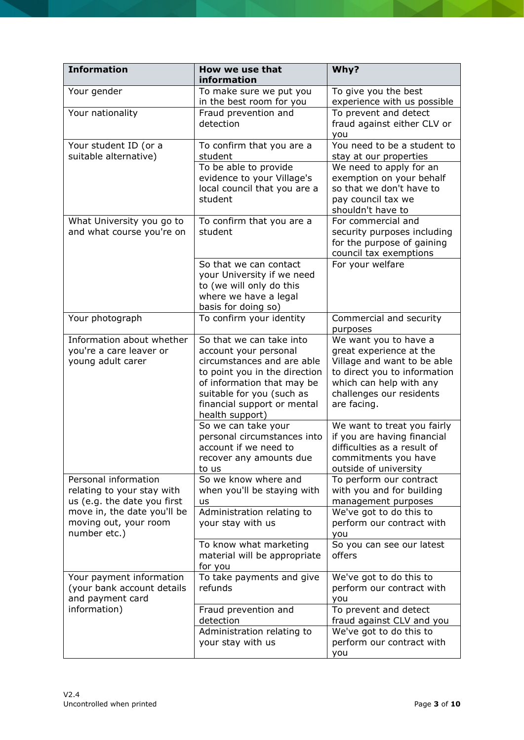| <b>Information</b>                                                                | How we use that<br>information                                                                                                                                                                                                | Why?                                                                                                                                                                                  |
|-----------------------------------------------------------------------------------|-------------------------------------------------------------------------------------------------------------------------------------------------------------------------------------------------------------------------------|---------------------------------------------------------------------------------------------------------------------------------------------------------------------------------------|
| Your gender                                                                       | To make sure we put you<br>in the best room for you                                                                                                                                                                           | To give you the best<br>experience with us possible                                                                                                                                   |
| Your nationality                                                                  | Fraud prevention and<br>detection                                                                                                                                                                                             | To prevent and detect<br>fraud against either CLV or<br>you                                                                                                                           |
| Your student ID (or a<br>suitable alternative)                                    | To confirm that you are a<br>student                                                                                                                                                                                          | You need to be a student to<br>stay at our properties                                                                                                                                 |
|                                                                                   | To be able to provide<br>evidence to your Village's<br>local council that you are a<br>student                                                                                                                                | We need to apply for an<br>exemption on your behalf<br>so that we don't have to<br>pay council tax we<br>shouldn't have to                                                            |
| What University you go to<br>and what course you're on                            | To confirm that you are a<br>student                                                                                                                                                                                          | For commercial and<br>security purposes including<br>for the purpose of gaining<br>council tax exemptions                                                                             |
|                                                                                   | So that we can contact<br>your University if we need<br>to (we will only do this<br>where we have a legal<br>basis for doing so)                                                                                              | For your welfare                                                                                                                                                                      |
| Your photograph                                                                   | To confirm your identity                                                                                                                                                                                                      | Commercial and security<br>purposes                                                                                                                                                   |
| Information about whether<br>you're a care leaver or<br>young adult carer         | So that we can take into<br>account your personal<br>circumstances and are able<br>to point you in the direction<br>of information that may be<br>suitable for you (such as<br>financial support or mental<br>health support) | We want you to have a<br>great experience at the<br>Village and want to be able<br>to direct you to information<br>which can help with any<br>challenges our residents<br>are facing. |
|                                                                                   | So we can take your<br>personal circumstances into<br>account if we need to<br>recover any amounts due<br>to us                                                                                                               | We want to treat you fairly<br>if you are having financial<br>difficulties as a result of<br>commitments you have<br>outside of university                                            |
| Personal information<br>relating to your stay with<br>us (e.g. the date you first | So we know where and<br>when you'll be staying with<br>us                                                                                                                                                                     | To perform our contract<br>with you and for building<br>management purposes                                                                                                           |
| move in, the date you'll be<br>moving out, your room<br>number etc.)              | Administration relating to<br>your stay with us                                                                                                                                                                               | We've got to do this to<br>perform our contract with<br>you                                                                                                                           |
|                                                                                   | To know what marketing<br>material will be appropriate<br>for you                                                                                                                                                             | So you can see our latest<br>offers                                                                                                                                                   |
| Your payment information<br>(your bank account details<br>and payment card        | To take payments and give<br>refunds                                                                                                                                                                                          | We've got to do this to<br>perform our contract with<br>you                                                                                                                           |
| information)                                                                      | Fraud prevention and<br>detection                                                                                                                                                                                             | To prevent and detect<br>fraud against CLV and you                                                                                                                                    |
|                                                                                   | Administration relating to<br>your stay with us                                                                                                                                                                               | We've got to do this to<br>perform our contract with<br>you                                                                                                                           |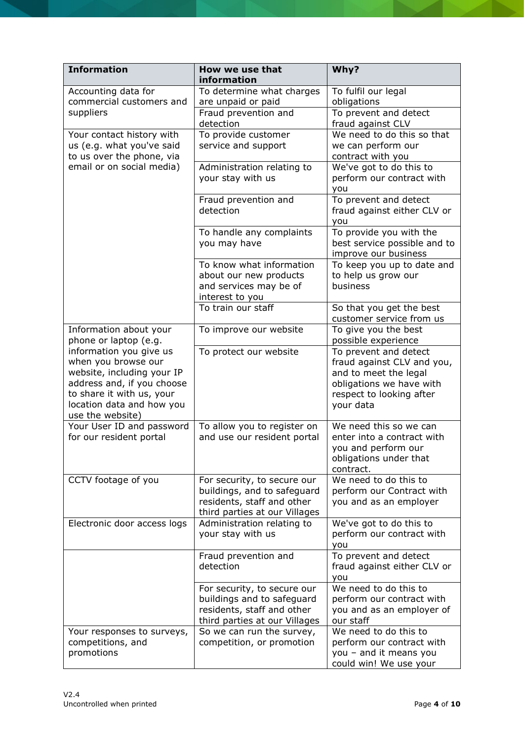| <b>Information</b>                                                                                                                                                                       | How we use that<br>information                                                                                            | Why?                                                                                                                                              |
|------------------------------------------------------------------------------------------------------------------------------------------------------------------------------------------|---------------------------------------------------------------------------------------------------------------------------|---------------------------------------------------------------------------------------------------------------------------------------------------|
| Accounting data for<br>commercial customers and                                                                                                                                          | To determine what charges<br>are unpaid or paid                                                                           | To fulfil our legal<br>obligations                                                                                                                |
| suppliers                                                                                                                                                                                | Fraud prevention and<br>detection                                                                                         | To prevent and detect<br>fraud against CLV                                                                                                        |
| Your contact history with<br>us (e.g. what you've said<br>to us over the phone, via                                                                                                      | To provide customer<br>service and support                                                                                | We need to do this so that<br>we can perform our<br>contract with you                                                                             |
| email or on social media)                                                                                                                                                                | Administration relating to<br>your stay with us                                                                           | We've got to do this to<br>perform our contract with<br>you                                                                                       |
|                                                                                                                                                                                          | Fraud prevention and<br>detection                                                                                         | To prevent and detect<br>fraud against either CLV or<br>you                                                                                       |
|                                                                                                                                                                                          | To handle any complaints<br>you may have                                                                                  | To provide you with the<br>best service possible and to<br>improve our business                                                                   |
|                                                                                                                                                                                          | To know what information<br>about our new products<br>and services may be of<br>interest to you                           | To keep you up to date and<br>to help us grow our<br>business                                                                                     |
|                                                                                                                                                                                          | To train our staff                                                                                                        | So that you get the best<br>customer service from us                                                                                              |
| Information about your<br>phone or laptop (e.g.                                                                                                                                          | To improve our website                                                                                                    | To give you the best<br>possible experience                                                                                                       |
| information you give us<br>when you browse our<br>website, including your IP<br>address and, if you choose<br>to share it with us, your<br>location data and how you<br>use the website) | To protect our website                                                                                                    | To prevent and detect<br>fraud against CLV and you,<br>and to meet the legal<br>obligations we have with<br>respect to looking after<br>your data |
| Your User ID and password<br>for our resident portal                                                                                                                                     | To allow you to register on<br>and use our resident portal                                                                | We need this so we can<br>enter into a contract with<br>you and perform our<br>obligations under that<br>contract.                                |
| CCTV footage of you                                                                                                                                                                      | For security, to secure our<br>buildings, and to safeguard<br>residents, staff and other<br>third parties at our Villages | We need to do this to<br>perform our Contract with<br>you and as an employer                                                                      |
| Electronic door access logs                                                                                                                                                              | Administration relating to<br>your stay with us                                                                           | We've got to do this to<br>perform our contract with<br>you                                                                                       |
|                                                                                                                                                                                          | Fraud prevention and<br>detection                                                                                         | To prevent and detect<br>fraud against either CLV or<br>you                                                                                       |
|                                                                                                                                                                                          | For security, to secure our<br>buildings and to safeguard<br>residents, staff and other<br>third parties at our Villages  | We need to do this to<br>perform our contract with<br>you and as an employer of<br>our staff                                                      |
| Your responses to surveys,<br>competitions, and<br>promotions                                                                                                                            | So we can run the survey,<br>competition, or promotion                                                                    | We need to do this to<br>perform our contract with<br>you - and it means you<br>could win! We use your                                            |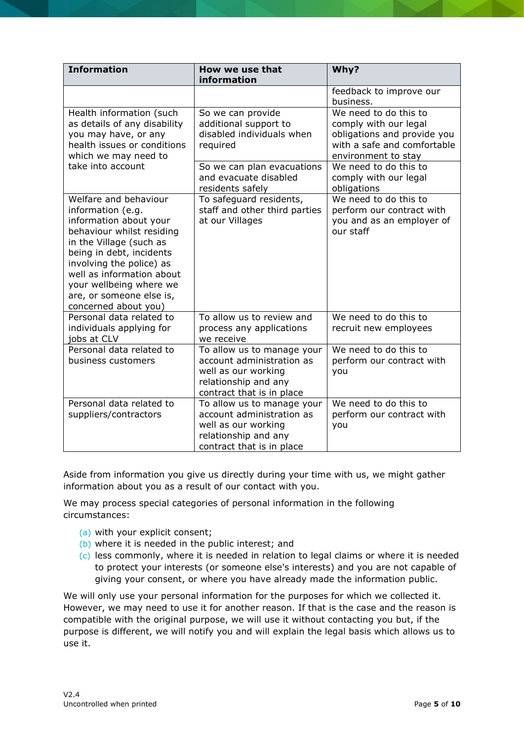| <b>Information</b>                                                                                                                                                                                                                                                                               | How we use that<br>information                                                                                                      | Why?                                                                                                                                |
|--------------------------------------------------------------------------------------------------------------------------------------------------------------------------------------------------------------------------------------------------------------------------------------------------|-------------------------------------------------------------------------------------------------------------------------------------|-------------------------------------------------------------------------------------------------------------------------------------|
|                                                                                                                                                                                                                                                                                                  |                                                                                                                                     | feedback to improve our<br>business.                                                                                                |
| Health information (such<br>as details of any disability<br>you may have, or any<br>health issues or conditions<br>which we may need to                                                                                                                                                          | So we can provide<br>additional support to<br>disabled individuals when<br>required                                                 | We need to do this to<br>comply with our legal<br>obligations and provide you<br>with a safe and comfortable<br>environment to stay |
| take into account                                                                                                                                                                                                                                                                                | So we can plan evacuations<br>and evacuate disabled<br>residents safely                                                             | We need to do this to<br>comply with our legal<br>obligations                                                                       |
| Welfare and behaviour<br>information (e.g.<br>information about your<br>behaviour whilst residing<br>in the Village (such as<br>being in debt, incidents<br>involving the police) as<br>well as information about<br>your wellbeing where we<br>are, or someone else is,<br>concerned about you) | To safeguard residents,<br>staff and other third parties<br>at our Villages                                                         | We need to do this to<br>perform our contract with<br>you and as an employer of<br>our staff                                        |
| Personal data related to<br>individuals applying for<br>jobs at CLV                                                                                                                                                                                                                              | To allow us to review and<br>process any applications<br>we receive                                                                 | We need to do this to<br>recruit new employees                                                                                      |
| Personal data related to<br>business customers                                                                                                                                                                                                                                                   | To allow us to manage your<br>account administration as<br>well as our working<br>relationship and any<br>contract that is in place | We need to do this to<br>perform our contract with<br>you                                                                           |
| Personal data related to<br>suppliers/contractors                                                                                                                                                                                                                                                | To allow us to manage your<br>account administration as<br>well as our working<br>relationship and any<br>contract that is in place | We need to do this to<br>perform our contract with<br>you                                                                           |

Aside from information you give us directly during your time with us, we might gather information about you as a result of our contact with you.

We may process special categories of personal information in the following circumstances:

- (a) with your explicit consent;
- (b) where it is needed in the public interest; and
- (c) less commonly, where it is needed in relation to legal claims or where it is needed to protect your interests (or someone else's interests) and you are not capable of giving your consent, or where you have already made the information public.

We will only use your personal information for the purposes for which we collected it. However, we may need to use it for another reason. If that is the case and the reason is compatible with the original purpose, we will use it without contacting you but, if the purpose is different, we will notify you and will explain the legal basis which allows us to use it.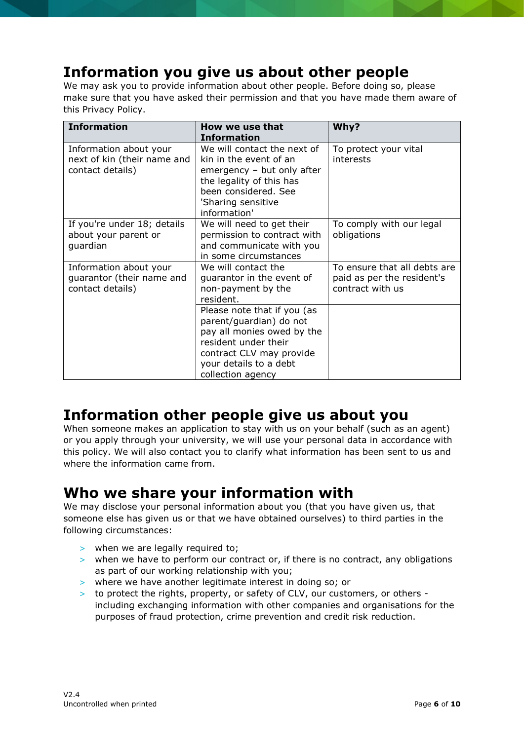# **Information you give us about other people**

We may ask you to provide information about other people. Before doing so, please make sure that you have asked their permission and that you have made them aware of this Privacy Policy.

| <b>Information</b>                                                        | How we use that<br><b>Information</b>                                                                                                                                                   | Why?                                                                           |
|---------------------------------------------------------------------------|-----------------------------------------------------------------------------------------------------------------------------------------------------------------------------------------|--------------------------------------------------------------------------------|
| Information about your<br>next of kin (their name and<br>contact details) | We will contact the next of<br>kin in the event of an<br>emergency - but only after<br>the legality of this has<br>been considered. See<br>'Sharing sensitive<br>information'           | To protect your vital<br>interests                                             |
| If you're under 18; details<br>about your parent or<br>guardian           | We will need to get their<br>permission to contract with<br>and communicate with you<br>in some circumstances                                                                           | To comply with our legal<br>obligations                                        |
| Information about your<br>guarantor (their name and<br>contact details)   | We will contact the<br>guarantor in the event of<br>non-payment by the<br>resident.                                                                                                     | To ensure that all debts are<br>paid as per the resident's<br>contract with us |
|                                                                           | Please note that if you (as<br>parent/guardian) do not<br>pay all monies owed by the<br>resident under their<br>contract CLV may provide<br>your details to a debt<br>collection agency |                                                                                |

# **Information other people give us about you**

When someone makes an application to stay with us on your behalf (such as an agent) or you apply through your university, we will use your personal data in accordance with this policy. We will also contact you to clarify what information has been sent to us and where the information came from.

### **Who we share your information with**

We may disclose your personal information about you (that you have given us, that someone else has given us or that we have obtained ourselves) to third parties in the following circumstances:

- > when we are legally required to;
- > when we have to perform our contract or, if there is no contract, any obligations as part of our working relationship with you;
- > where we have another legitimate interest in doing so; or
- > to protect the rights, property, or safety of CLV, our customers, or others including exchanging information with other companies and organisations for the purposes of fraud protection, crime prevention and credit risk reduction.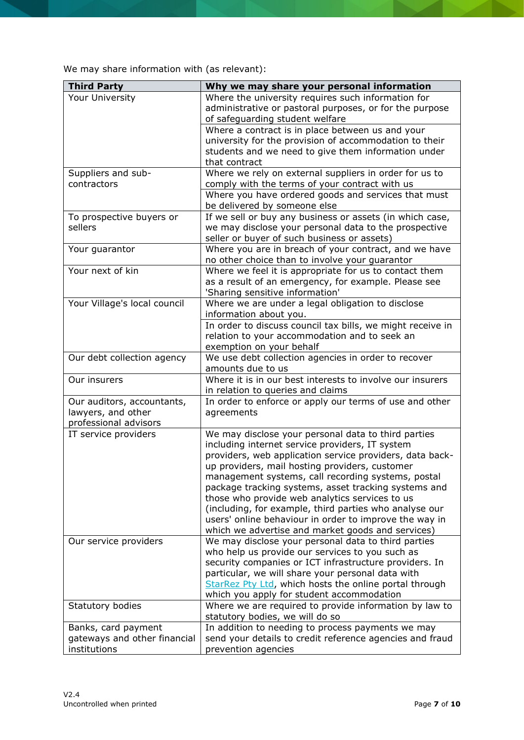We may share information with (as relevant):

| <b>Third Party</b>                                                        | Why we may share your personal information                                                                                                                                                                                                                                                                                                                                                                                                                                                                                                                    |
|---------------------------------------------------------------------------|---------------------------------------------------------------------------------------------------------------------------------------------------------------------------------------------------------------------------------------------------------------------------------------------------------------------------------------------------------------------------------------------------------------------------------------------------------------------------------------------------------------------------------------------------------------|
| Your University                                                           | Where the university requires such information for<br>administrative or pastoral purposes, or for the purpose<br>of safeguarding student welfare                                                                                                                                                                                                                                                                                                                                                                                                              |
|                                                                           | Where a contract is in place between us and your<br>university for the provision of accommodation to their<br>students and we need to give them information under<br>that contract                                                                                                                                                                                                                                                                                                                                                                            |
| Suppliers and sub-                                                        | Where we rely on external suppliers in order for us to                                                                                                                                                                                                                                                                                                                                                                                                                                                                                                        |
| contractors                                                               | comply with the terms of your contract with us                                                                                                                                                                                                                                                                                                                                                                                                                                                                                                                |
|                                                                           | Where you have ordered goods and services that must<br>be delivered by someone else                                                                                                                                                                                                                                                                                                                                                                                                                                                                           |
| To prospective buyers or<br>sellers                                       | If we sell or buy any business or assets (in which case,<br>we may disclose your personal data to the prospective<br>seller or buyer of such business or assets)                                                                                                                                                                                                                                                                                                                                                                                              |
| Your guarantor                                                            | Where you are in breach of your contract, and we have<br>no other choice than to involve your guarantor                                                                                                                                                                                                                                                                                                                                                                                                                                                       |
| Your next of kin                                                          | Where we feel it is appropriate for us to contact them<br>as a result of an emergency, for example. Please see<br>'Sharing sensitive information'                                                                                                                                                                                                                                                                                                                                                                                                             |
| Your Village's local council                                              | Where we are under a legal obligation to disclose<br>information about you.                                                                                                                                                                                                                                                                                                                                                                                                                                                                                   |
|                                                                           | In order to discuss council tax bills, we might receive in<br>relation to your accommodation and to seek an<br>exemption on your behalf                                                                                                                                                                                                                                                                                                                                                                                                                       |
| Our debt collection agency                                                | We use debt collection agencies in order to recover<br>amounts due to us                                                                                                                                                                                                                                                                                                                                                                                                                                                                                      |
| Our insurers                                                              | Where it is in our best interests to involve our insurers<br>in relation to queries and claims                                                                                                                                                                                                                                                                                                                                                                                                                                                                |
| Our auditors, accountants,<br>lawyers, and other<br>professional advisors | In order to enforce or apply our terms of use and other<br>agreements                                                                                                                                                                                                                                                                                                                                                                                                                                                                                         |
| IT service providers                                                      | We may disclose your personal data to third parties<br>including internet service providers, IT system<br>providers, web application service providers, data back-<br>up providers, mail hosting providers, customer<br>management systems, call recording systems, postal<br>package tracking systems, asset tracking systems and<br>those who provide web analytics services to us<br>(including, for example, third parties who analyse our<br>users' online behaviour in order to improve the way in<br>which we advertise and market goods and services) |
| Our service providers                                                     | We may disclose your personal data to third parties<br>who help us provide our services to you such as<br>security companies or ICT infrastructure providers. In<br>particular, we will share your personal data with<br>StarRez Pty Ltd, which hosts the online portal through<br>which you apply for student accommodation                                                                                                                                                                                                                                  |
| Statutory bodies                                                          | Where we are required to provide information by law to<br>statutory bodies, we will do so                                                                                                                                                                                                                                                                                                                                                                                                                                                                     |
| Banks, card payment<br>gateways and other financial<br>institutions       | In addition to needing to process payments we may<br>send your details to credit reference agencies and fraud<br>prevention agencies                                                                                                                                                                                                                                                                                                                                                                                                                          |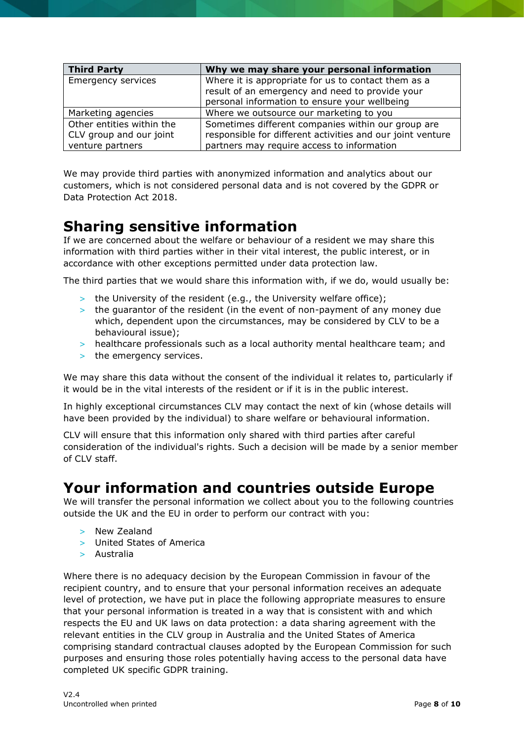| <b>Third Party</b>        | Why we may share your personal information                 |
|---------------------------|------------------------------------------------------------|
| <b>Emergency services</b> | Where it is appropriate for us to contact them as a        |
|                           | result of an emergency and need to provide your            |
|                           | personal information to ensure your wellbeing              |
| Marketing agencies        | Where we outsource our marketing to you                    |
| Other entities within the | Sometimes different companies within our group are         |
| CLV group and our joint   | responsible for different activities and our joint venture |
| venture partners          | partners may require access to information                 |

We may provide third parties with anonymized information and analytics about our customers, which is not considered personal data and is not covered by the GDPR or Data Protection Act 2018.

# **Sharing sensitive information**

If we are concerned about the welfare or behaviour of a resident we may share this information with third parties wither in their vital interest, the public interest, or in accordance with other exceptions permitted under data protection law.

The third parties that we would share this information with, if we do, would usually be:

- > the University of the resident (e.g., the University welfare office);
- > the guarantor of the resident (in the event of non-payment of any money due which, dependent upon the circumstances, may be considered by CLV to be a behavioural issue);
- > healthcare professionals such as a local authority mental healthcare team; and
- > the emergency services.

We may share this data without the consent of the individual it relates to, particularly if it would be in the vital interests of the resident or if it is in the public interest.

In highly exceptional circumstances CLV may contact the next of kin (whose details will have been provided by the individual) to share welfare or behavioural information.

CLV will ensure that this information only shared with third parties after careful consideration of the individual's rights. Such a decision will be made by a senior member of CLV staff.

#### **Your information and countries outside Europe**

We will transfer the personal information we collect about you to the following countries outside the UK and the EU in order to perform our contract with you:

- > New Zealand
- > United States of America
- > Australia

Where there is no adequacy decision by the European Commission in favour of the recipient country, and to ensure that your personal information receives an adequate level of protection, we have put in place the following appropriate measures to ensure that your personal information is treated in a way that is consistent with and which respects the EU and UK laws on data protection: a data sharing agreement with the relevant entities in the CLV group in Australia and the United States of America comprising standard contractual clauses adopted by the European Commission for such purposes and ensuring those roles potentially having access to the personal data have completed UK specific GDPR training.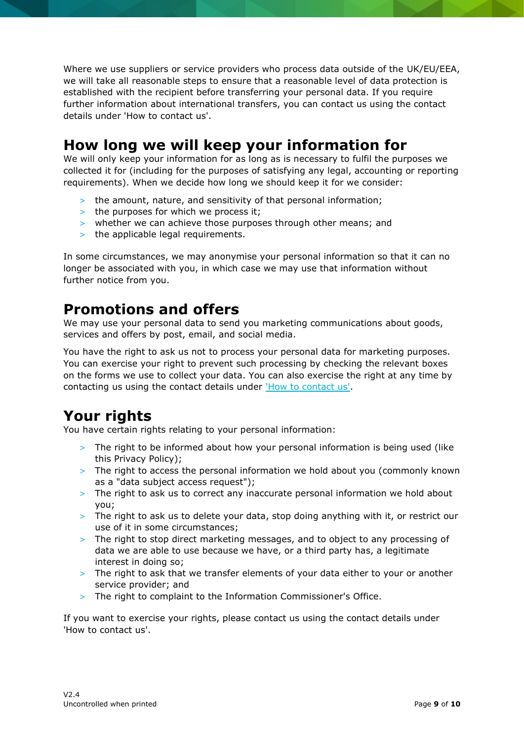Where we use suppliers or service providers who process data outside of the UK/EU/EEA, we will take all reasonable steps to ensure that a reasonable level of data protection is established with the recipient before transferring your personal data. If you require further information about international transfers, you can contact us using the contact details under 'How to contact us'.

## **How long we will keep your information for**

We will only keep your information for as long as is necessary to fulfil the purposes we collected it for (including for the purposes of satisfying any legal, accounting or reporting requirements). When we decide how long we should keep it for we consider:

- > the amount, nature, and sensitivity of that personal information;
- > the purposes for which we process it;
- > whether we can achieve those purposes through other means; and
- > the applicable legal requirements.

In some circumstances, we may anonymise your personal information so that it can no longer be associated with you, in which case we may use that information without further notice from you.

# **Promotions and offers**

We may use your personal data to send you marketing communications about goods, services and offers by post, email, and social media.

You have the right to ask us not to process your personal data for marketing purposes. You can exercise your right to prevent such processing by checking the relevant boxes on the forms we use to collect your data. You can also exercise the right at any time by contacting us using the contact details under ['How to contact us'.](#page-9-0)

# **Your rights**

You have certain rights relating to your personal information:

- > The right to be informed about how your personal information is being used (like this Privacy Policy);
- > The right to access the personal information we hold about you (commonly known as a "data subject access request");
- > The right to ask us to correct any inaccurate personal information we hold about you;
- > The right to ask us to delete your data, stop doing anything with it, or restrict our use of it in some circumstances;
- > The right to stop direct marketing messages, and to object to any processing of data we are able to use because we have, or a third party has, a legitimate interest in doing so;
- > The right to ask that we transfer elements of your data either to your or another service provider; and
- > The right to complaint to the Information Commissioner's Office.

If you want to exercise your rights, please contact us using the contact details under 'How to contact us'.